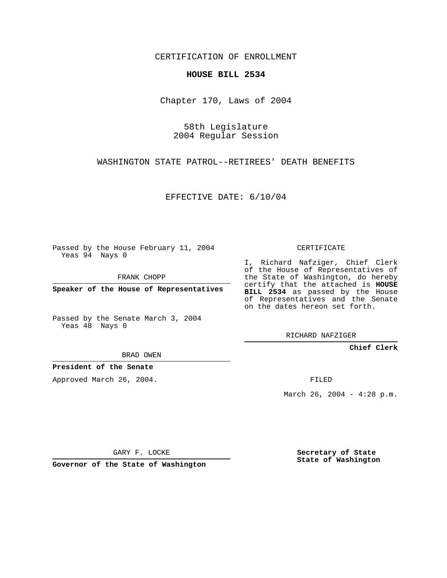CERTIFICATION OF ENROLLMENT

## **HOUSE BILL 2534**

Chapter 170, Laws of 2004

58th Legislature 2004 Regular Session

WASHINGTON STATE PATROL--RETIREES' DEATH BENEFITS

EFFECTIVE DATE: 6/10/04

Passed by the House February 11, 2004 Yeas 94 Nays 0

FRANK CHOPP

**Speaker of the House of Representatives**

Passed by the Senate March 3, 2004 Yeas 48 Nays 0

BRAD OWEN

**President of the Senate**

Approved March 26, 2004.

CERTIFICATE

I, Richard Nafziger, Chief Clerk of the House of Representatives of the State of Washington, do hereby certify that the attached is **HOUSE BILL 2534** as passed by the House of Representatives and the Senate on the dates hereon set forth.

RICHARD NAFZIGER

**Chief Clerk**

FILED

March 26, 2004 -  $4:28$  p.m.

GARY F. LOCKE

**Governor of the State of Washington**

**Secretary of State State of Washington**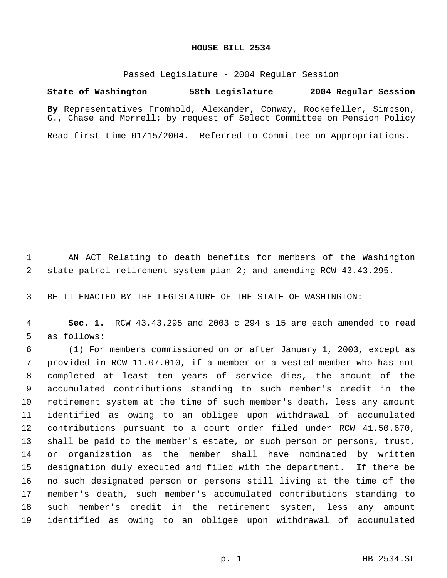## **HOUSE BILL 2534** \_\_\_\_\_\_\_\_\_\_\_\_\_\_\_\_\_\_\_\_\_\_\_\_\_\_\_\_\_\_\_\_\_\_\_\_\_\_\_\_\_\_\_\_\_

\_\_\_\_\_\_\_\_\_\_\_\_\_\_\_\_\_\_\_\_\_\_\_\_\_\_\_\_\_\_\_\_\_\_\_\_\_\_\_\_\_\_\_\_\_

Passed Legislature - 2004 Regular Session

## **State of Washington 58th Legislature 2004 Regular Session**

**By** Representatives Fromhold, Alexander, Conway, Rockefeller, Simpson, G., Chase and Morrell; by request of Select Committee on Pension Policy

Read first time 01/15/2004. Referred to Committee on Appropriations.

 AN ACT Relating to death benefits for members of the Washington state patrol retirement system plan 2; and amending RCW 43.43.295.

BE IT ENACTED BY THE LEGISLATURE OF THE STATE OF WASHINGTON:

 **Sec. 1.** RCW 43.43.295 and 2003 c 294 s 15 are each amended to read as follows:

 (1) For members commissioned on or after January 1, 2003, except as provided in RCW 11.07.010, if a member or a vested member who has not completed at least ten years of service dies, the amount of the accumulated contributions standing to such member's credit in the retirement system at the time of such member's death, less any amount identified as owing to an obligee upon withdrawal of accumulated contributions pursuant to a court order filed under RCW 41.50.670, shall be paid to the member's estate, or such person or persons, trust, or organization as the member shall have nominated by written designation duly executed and filed with the department. If there be no such designated person or persons still living at the time of the member's death, such member's accumulated contributions standing to such member's credit in the retirement system, less any amount identified as owing to an obligee upon withdrawal of accumulated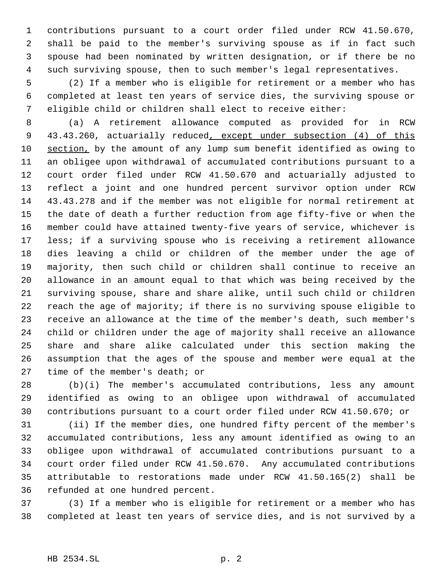contributions pursuant to a court order filed under RCW 41.50.670, shall be paid to the member's surviving spouse as if in fact such spouse had been nominated by written designation, or if there be no such surviving spouse, then to such member's legal representatives.

 (2) If a member who is eligible for retirement or a member who has completed at least ten years of service dies, the surviving spouse or eligible child or children shall elect to receive either:

 (a) A retirement allowance computed as provided for in RCW 9 43.43.260, actuarially reduced, except under subsection (4) of this section, by the amount of any lump sum benefit identified as owing to an obligee upon withdrawal of accumulated contributions pursuant to a court order filed under RCW 41.50.670 and actuarially adjusted to reflect a joint and one hundred percent survivor option under RCW 43.43.278 and if the member was not eligible for normal retirement at the date of death a further reduction from age fifty-five or when the member could have attained twenty-five years of service, whichever is less; if a surviving spouse who is receiving a retirement allowance dies leaving a child or children of the member under the age of majority, then such child or children shall continue to receive an allowance in an amount equal to that which was being received by the surviving spouse, share and share alike, until such child or children reach the age of majority; if there is no surviving spouse eligible to receive an allowance at the time of the member's death, such member's child or children under the age of majority shall receive an allowance share and share alike calculated under this section making the assumption that the ages of the spouse and member were equal at the time of the member's death; or

 (b)(i) The member's accumulated contributions, less any amount identified as owing to an obligee upon withdrawal of accumulated contributions pursuant to a court order filed under RCW 41.50.670; or

 (ii) If the member dies, one hundred fifty percent of the member's accumulated contributions, less any amount identified as owing to an obligee upon withdrawal of accumulated contributions pursuant to a court order filed under RCW 41.50.670. Any accumulated contributions attributable to restorations made under RCW 41.50.165(2) shall be refunded at one hundred percent.

 (3) If a member who is eligible for retirement or a member who has completed at least ten years of service dies, and is not survived by a